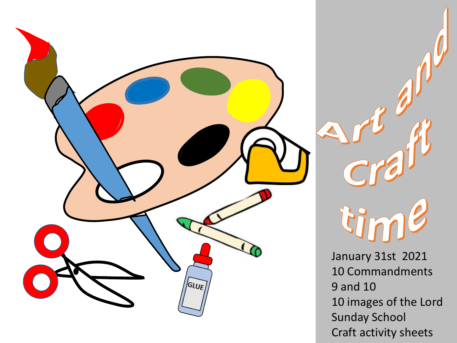

tin

January 31st 2021 10 Commandments 9 and 10 10 images of the Lord Sunday School Craft activity sheets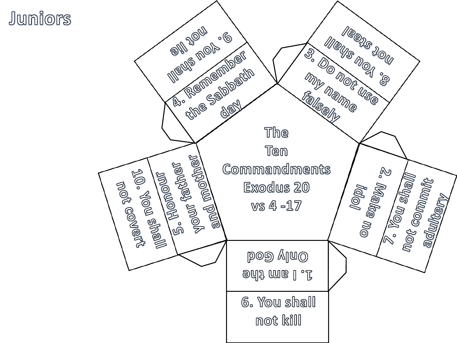## Juniors

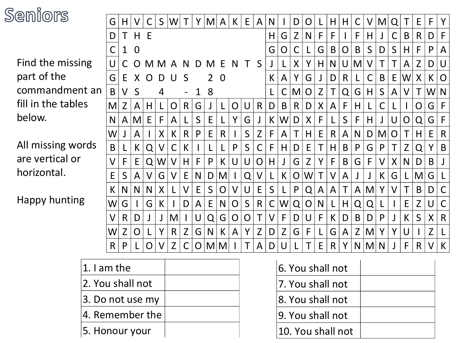

| eniors             |              | Η            |                |          | S      | W            |              | Y | M | A            | K      | E            | A            | N            |   | D | O |    | H  | H            |          |                   | M            | Q           |              | E              | F.     | Y            |
|--------------------|--------------|--------------|----------------|----------|--------|--------------|--------------|---|---|--------------|--------|--------------|--------------|--------------|---|---|---|----|----|--------------|----------|-------------------|--------------|-------------|--------------|----------------|--------|--------------|
|                    | D            |              | H E            |          |        |              |              |   |   |              |        |              |              | H            | G | Z | N | F  | F  |              | F        | H.                |              | С           | B            | $\mathsf{R}$   | D      | F            |
|                    | С            | 1            | $\overline{0}$ |          |        |              |              |   |   |              |        |              |              | G            | Ő | С |   | G  | B  | O            | B        | $S_{\mathcal{C}}$ | D            | $\mathsf S$ | H            | F              | P      | A            |
| Find the missing   | U            |              | $\Omega$       | M        | M      | A            | <b>N</b>     | D | M | F            | N      | T            | S            |              |   | X |   | H. | N  | U            | M        |                   |              |             | A            | Z              | D      | U            |
| part of the        | G            | E            | X              | $\Omega$ | D      | U            | S            |   | 2 | $\Omega$     |        |              |              | K.           | A | Y | G |    | D  | $\mathsf{R}$ |          |                   | B            | E           | W            | X              | K      | O            |
| commandment an     |              | V            | S              |          | 4      |              |              |   | 8 |              |        |              |              |              |   | M | O | Z  |    | Q            | G        | H.                | $\mathsf{S}$ | A           | $\vee$       | Τ              | W      | N            |
| fill in the tables | M            | Z            | A              | H        |        | O            | R            | G | J | L            | O      | U            | $\mathsf{R}$ | D            | B | R | D | X. | A  | $\mathsf{F}$ | $H \mid$ |                   | С            |             |              | O              | G      | $\mathsf{F}$ |
| below.             |              | A            | M              | E.       | F.     | A            |              | S | E |              | Y      | G            |              | K.           | W | D | X | F  |    | S            | F        | H.                |              | U           | $\mathsf{O}$ | Q              | G      | F            |
|                    | W            |              | A              |          | X      | K            | R            | P | E | $\mathsf{R}$ |        | S            |              | F            | A |   | Η | E  | R  | A            | N        | D                 | M            | 0           |              | Η              | E      | $\mathsf{R}$ |
| All missing words  | B            |              | K              | Q        | V      | С            | К            |   |   |              | P      | S            |              | F            | H | D | E |    | H  | B            | P        | G                 | P            |             | Z            | Q              |        | B            |
| are vertical or    | V            | F            | E              | Q        | W      | V            | H            | F | P | K            | U      | U            | O            | H            |   | G | Z |    | F  | B            | G        | E                 | V            | X           | N            | D              | B      |              |
| horizontal.        | E            | S            | A              |          | G      | V            | E            | N | D | M            |        | Q            |              |              | K | O | W | Τ  | V  | A            |          |                   | K.           | G           |              | M              | G      |              |
|                    | K            | N            | N              | N.       | X      |              | $\mathsf{V}$ | E | S | O            | $\vee$ | U            | E            | S            |   | P | Q | A  | A  | $\mathsf T$  |          | $A$ $M$           | Y            | V           |              | $\mathsf B$    | D      | $\mathsf C$  |
| Happy hunting      | W            | G            |                | G        | K.     |              | D            | A | E | N            | O      | $\mathsf{S}$ | $\mathsf{R}$ | $\mathsf{C}$ | W | Q | O | N. |    | H            | Q        | Q                 |              |             | E            | Z              |        | $\mathsf C$  |
|                    | V            | $\mathsf{R}$ | D              |          | J      | M            |              | U | Q | G            | O      | O            |              | $\vee$       | F | D | U | F  | К  | D            | B        | D                 | P            |             | К            | S              | X      | $\mathsf{R}$ |
|                    | W            | Z            | $\mathsf O$    |          | Y      | $\mathsf{R}$ | Z            | G | N | K            | A      | Y            | Z            | D            | Z | G | F |    | G  | A            | Z        | M                 | Y            | Υ           | U            |                | Z      |              |
|                    | $\mathsf{R}$ | P            |                | O        | $\vee$ | Z            | C            | O |   | $M$ $M$      |        | Τ            | A            | $\mathsf{D}$ | U |   |   | E. | R. | Y            |          | N M N             |              |             | F            | R <sub>1</sub> | $\vee$ | $\mathsf{K}$ |

| 1. I am the      |  |
|------------------|--|
| 2. You shall not |  |
| 3. Do not use my |  |
| 4. Remember the  |  |
| 5. Honour your   |  |

| 6. You shall not |                   |  |  |  |  |  |  |
|------------------|-------------------|--|--|--|--|--|--|
|                  | 7. You shall not  |  |  |  |  |  |  |
| 8. You shall not |                   |  |  |  |  |  |  |
| 9. You shall not |                   |  |  |  |  |  |  |
|                  | 10. You shall not |  |  |  |  |  |  |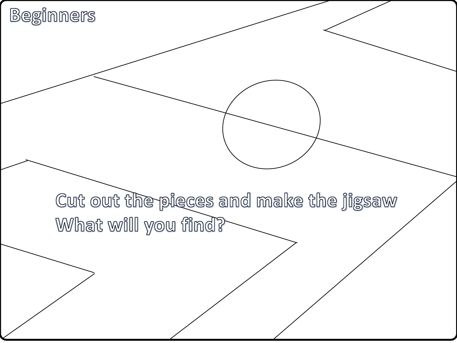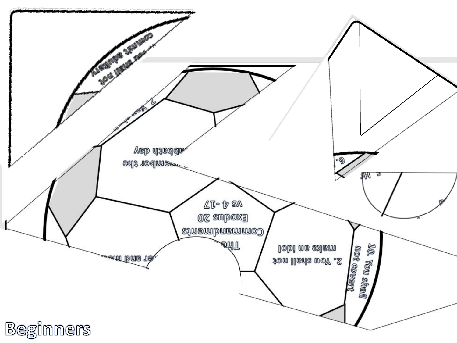